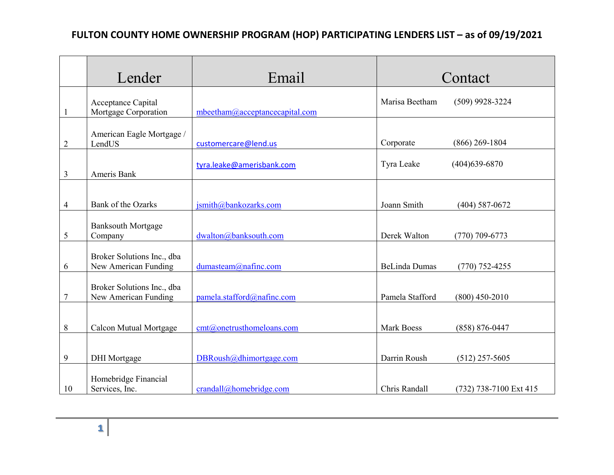## **FULTON COUNTY HOME OWNERSHIP PROGRAM (HOP) PARTICIPATING LENDERS LIST – as of 09/19/2021**

|    | Lender                                             | Email                          | Contact              |                        |
|----|----------------------------------------------------|--------------------------------|----------------------|------------------------|
|    | Acceptance Capital<br>Mortgage Corporation         | mbeetham@acceptancecapital.com | Marisa Beetham       | $(509)$ 9928-3224      |
| 2  | American Eagle Mortgage /<br>LendUS                | customercare@lend.us           | Corporate            | $(866)$ 269-1804       |
| 3  | Ameris Bank                                        | tyra.leake@amerisbank.com      | Tyra Leake           | $(404)639-6870$        |
| 4  | Bank of the Ozarks                                 | jsmith@bankozarks.com          | Joann Smith          | $(404)$ 587-0672       |
| 5  | <b>Banksouth Mortgage</b><br>Company               | dwalton@banksouth.com          | Derek Walton         | $(770)$ 709-6773       |
| 6  | Broker Solutions Inc., dba<br>New American Funding | dumasteam@nafinc.com           | <b>BeLinda Dumas</b> | $(770) 752 - 4255$     |
| 7  | Broker Solutions Inc., dba<br>New American Funding | pamela.stafford@nafinc.com     | Pamela Stafford      | $(800)$ 450-2010       |
| 8  | <b>Calcon Mutual Mortgage</b>                      | cmt@onetrusthomeloans.com      | <b>Mark Boess</b>    | $(858) 876 - 0447$     |
| 9  | <b>DHI</b> Mortgage                                | DBRoush@dhimortgage.com        | Darrin Roush         | $(512)$ 257-5605       |
| 10 | Homebridge Financial<br>Services, Inc.             | crandall@homebridge.com        | Chris Randall        | (732) 738-7100 Ext 415 |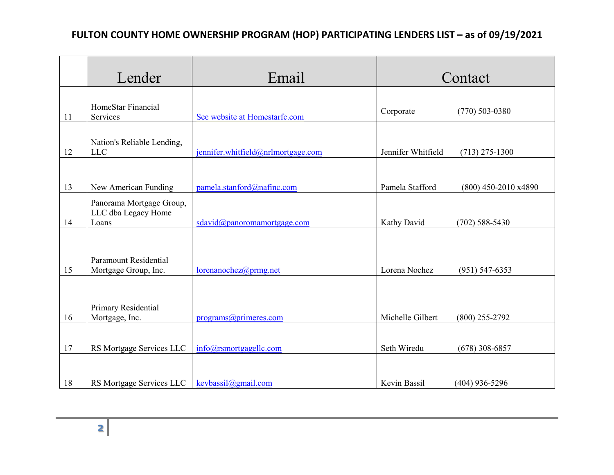## **FULTON COUNTY HOME OWNERSHIP PROGRAM (HOP) PARTICIPATING LENDERS LIST – as of 09/19/2021**

|    | Lender                                                   | Email                              | Contact            |                        |
|----|----------------------------------------------------------|------------------------------------|--------------------|------------------------|
| 11 | HomeStar Financial<br>Services                           | See website at Homestarfc.com      | Corporate          | $(770)$ 503-0380       |
| 12 | Nation's Reliable Lending,<br><b>LLC</b>                 | jennifer.whitfield@nrlmortgage.com | Jennifer Whitfield | $(713)$ 275-1300       |
| 13 | New American Funding                                     | pamela.stanford@nafinc.com         | Pamela Stafford    | $(800)$ 450-2010 x4890 |
| 14 | Panorama Mortgage Group,<br>LLC dba Legacy Home<br>Loans | sdavid@panoromamortgage.com        | Kathy David        | $(702)$ 588-5430       |
| 15 | <b>Paramount Residential</b><br>Mortgage Group, Inc.     | lorenanochez@prmg.net              | Lorena Nochez      | $(951) 547 - 6353$     |
| 16 | Primary Residential<br>Mortgage, Inc.                    | programs@primeres.com              | Michelle Gilbert   | $(800)$ 255-2792       |
| 17 | RS Mortgage Services LLC                                 | info@rsmortgagelle.com             | Seth Wiredu        | $(678)$ 308-6857       |
| 18 | RS Mortgage Services LLC                                 | kevbassil@gmail.com                | Kevin Bassil       | $(404)$ 936-5296       |